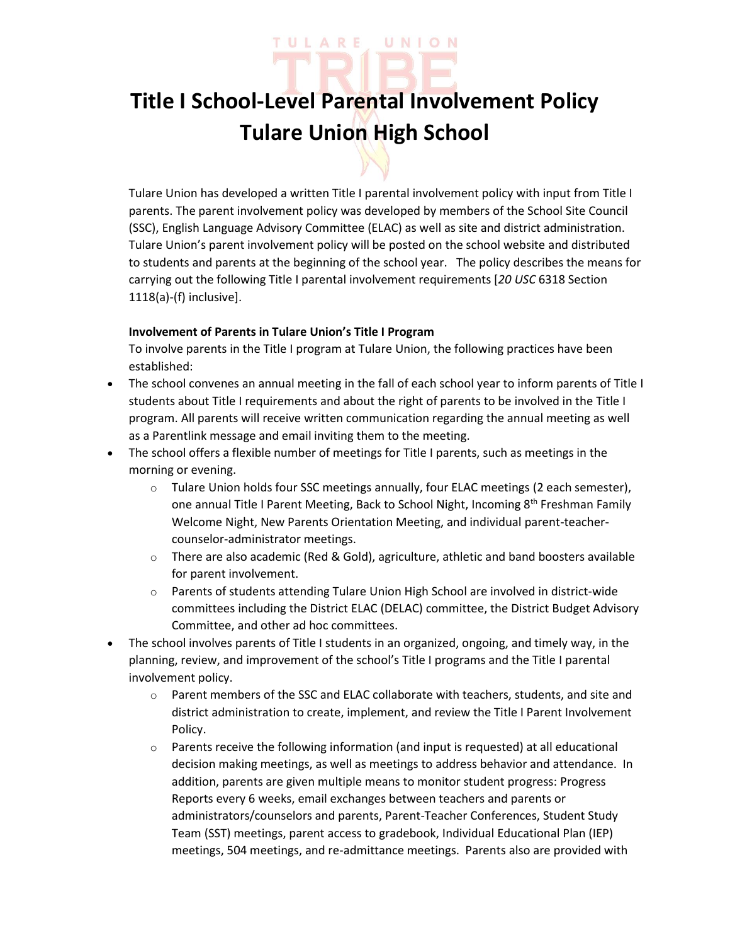# ULARE UNION

## **Title I School-Level Parental Involvement Policy Tulare Union High School**

Tulare Union has developed a written Title I parental involvement policy with input from Title I parents. The parent involvement policy was developed by members of the School Site Council (SSC), English Language Advisory Committee (ELAC) as well as site and district administration. Tulare Union's parent involvement policy will be posted on the school website and distributed to students and parents at the beginning of the school year. The policy describes the means for carrying out the following Title I parental involvement requirements [*20 USC* 6318 Section 1118(a)-(f) inclusive].

### **Involvement of Parents in Tulare Union's Title I Program**

To involve parents in the Title I program at Tulare Union, the following practices have been established:

- The school convenes an annual meeting in the fall of each school year to inform parents of Title I students about Title I requirements and about the right of parents to be involved in the Title I program. All parents will receive written communication regarding the annual meeting as well as a Parentlink message and email inviting them to the meeting.
- The school offers a flexible number of meetings for Title I parents, such as meetings in the morning or evening.
	- $\circ$  Tulare Union holds four SSC meetings annually, four ELAC meetings (2 each semester), one annual Title I Parent Meeting, Back to School Night, Incoming 8<sup>th</sup> Freshman Family Welcome Night, New Parents Orientation Meeting, and individual parent-teachercounselor-administrator meetings.
	- $\circ$  There are also academic (Red & Gold), agriculture, athletic and band boosters available for parent involvement.
	- $\circ$  Parents of students attending Tulare Union High School are involved in district-wide committees including the District ELAC (DELAC) committee, the District Budget Advisory Committee, and other ad hoc committees.
- The school involves parents of Title I students in an organized, ongoing, and timely way, in the planning, review, and improvement of the school's Title I programs and the Title I parental involvement policy.
	- o Parent members of the SSC and ELAC collaborate with teachers, students, and site and district administration to create, implement, and review the Title I Parent Involvement Policy.
	- $\circ$  Parents receive the following information (and input is requested) at all educational decision making meetings, as well as meetings to address behavior and attendance. In addition, parents are given multiple means to monitor student progress: Progress Reports every 6 weeks, email exchanges between teachers and parents or administrators/counselors and parents, Parent-Teacher Conferences, Student Study Team (SST) meetings, parent access to gradebook, Individual Educational Plan (IEP) meetings, 504 meetings, and re-admittance meetings. Parents also are provided with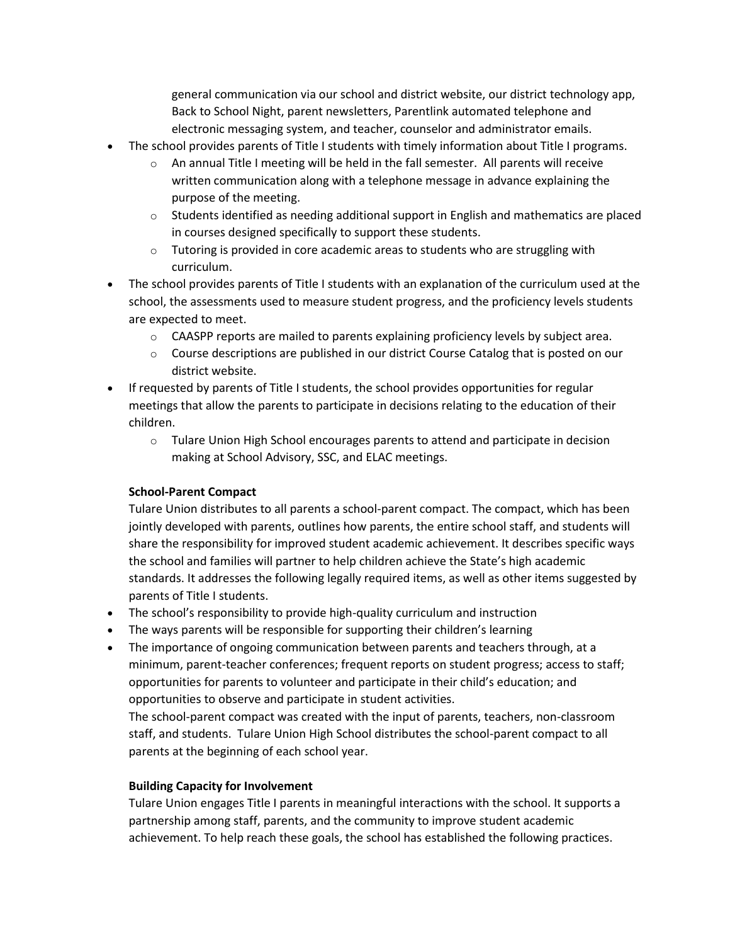general communication via our school and district website, our district technology app, Back to School Night, parent newsletters, Parentlink automated telephone and electronic messaging system, and teacher, counselor and administrator emails.

- The school provides parents of Title I students with timely information about Title I programs.
	- An annual Title I meeting will be held in the fall semester. All parents will receive written communication along with a telephone message in advance explaining the purpose of the meeting.
	- $\circ$  Students identified as needing additional support in English and mathematics are placed in courses designed specifically to support these students.
	- $\circ$  Tutoring is provided in core academic areas to students who are struggling with curriculum.
- The school provides parents of Title I students with an explanation of the curriculum used at the school, the assessments used to measure student progress, and the proficiency levels students are expected to meet.
	- $\circ$  CAASPP reports are mailed to parents explaining proficiency levels by subject area.
	- $\circ$  Course descriptions are published in our district Course Catalog that is posted on our district website.
- If requested by parents of Title I students, the school provides opportunities for regular meetings that allow the parents to participate in decisions relating to the education of their children.
	- $\circ$  Tulare Union High School encourages parents to attend and participate in decision making at School Advisory, SSC, and ELAC meetings.

#### **School-Parent Compact**

Tulare Union distributes to all parents a school-parent compact. The compact, which has been jointly developed with parents, outlines how parents, the entire school staff, and students will share the responsibility for improved student academic achievement. It describes specific ways the school and families will partner to help children achieve the State's high academic standards. It addresses the following legally required items, as well as other items suggested by parents of Title I students.

- The school's responsibility to provide high-quality curriculum and instruction
- The ways parents will be responsible for supporting their children's learning
- The importance of ongoing communication between parents and teachers through, at a minimum, parent-teacher conferences; frequent reports on student progress; access to staff; opportunities for parents to volunteer and participate in their child's education; and opportunities to observe and participate in student activities.

The school-parent compact was created with the input of parents, teachers, non-classroom staff, and students. Tulare Union High School distributes the school-parent compact to all parents at the beginning of each school year.

#### **Building Capacity for Involvement**

Tulare Union engages Title I parents in meaningful interactions with the school. It supports a partnership among staff, parents, and the community to improve student academic achievement. To help reach these goals, the school has established the following practices.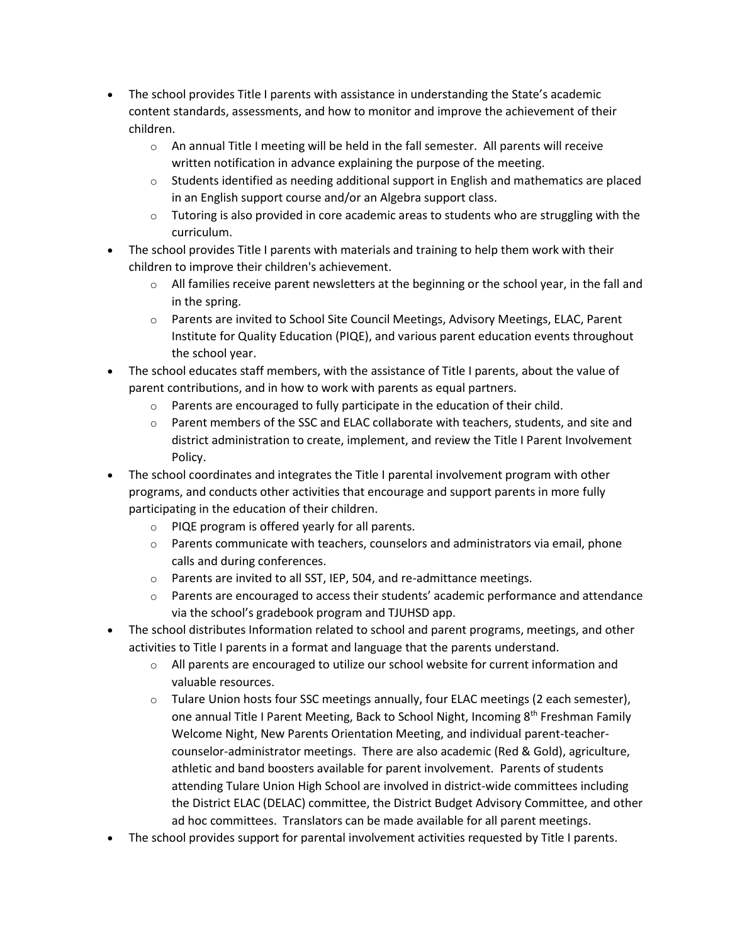- The school provides Title I parents with assistance in understanding the State's academic content standards, assessments, and how to monitor and improve the achievement of their children.
	- $\circ$  An annual Title I meeting will be held in the fall semester. All parents will receive written notification in advance explaining the purpose of the meeting.
	- $\circ$  Students identified as needing additional support in English and mathematics are placed in an English support course and/or an Algebra support class.
	- $\circ$  Tutoring is also provided in core academic areas to students who are struggling with the curriculum.
- The school provides Title I parents with materials and training to help them work with their children to improve their children's achievement.
	- $\circ$  All families receive parent newsletters at the beginning or the school year, in the fall and in the spring.
	- o Parents are invited to School Site Council Meetings, Advisory Meetings, ELAC, Parent Institute for Quality Education (PIQE), and various parent education events throughout the school year.
- The school educates staff members, with the assistance of Title I parents, about the value of parent contributions, and in how to work with parents as equal partners.
	- o Parents are encouraged to fully participate in the education of their child.
	- $\circ$  Parent members of the SSC and ELAC collaborate with teachers, students, and site and district administration to create, implement, and review the Title I Parent Involvement Policy.
- The school coordinates and integrates the Title I parental involvement program with other programs, and conducts other activities that encourage and support parents in more fully participating in the education of their children.
	- o PIQE program is offered yearly for all parents.
	- $\circ$  Parents communicate with teachers, counselors and administrators via email, phone calls and during conferences.
	- o Parents are invited to all SST, IEP, 504, and re-admittance meetings.
	- $\circ$  Parents are encouraged to access their students' academic performance and attendance via the school's gradebook program and TJUHSD app.
- The school distributes Information related to school and parent programs, meetings, and other activities to Title I parents in a format and language that the parents understand.
	- $\circ$  All parents are encouraged to utilize our school website for current information and valuable resources.
	- o Tulare Union hosts four SSC meetings annually, four ELAC meetings (2 each semester), one annual Title I Parent Meeting, Back to School Night, Incoming 8<sup>th</sup> Freshman Family Welcome Night, New Parents Orientation Meeting, and individual parent-teachercounselor-administrator meetings. There are also academic (Red & Gold), agriculture, athletic and band boosters available for parent involvement. Parents of students attending Tulare Union High School are involved in district-wide committees including the District ELAC (DELAC) committee, the District Budget Advisory Committee, and other ad hoc committees. Translators can be made available for all parent meetings.
- The school provides support for parental involvement activities requested by Title I parents.